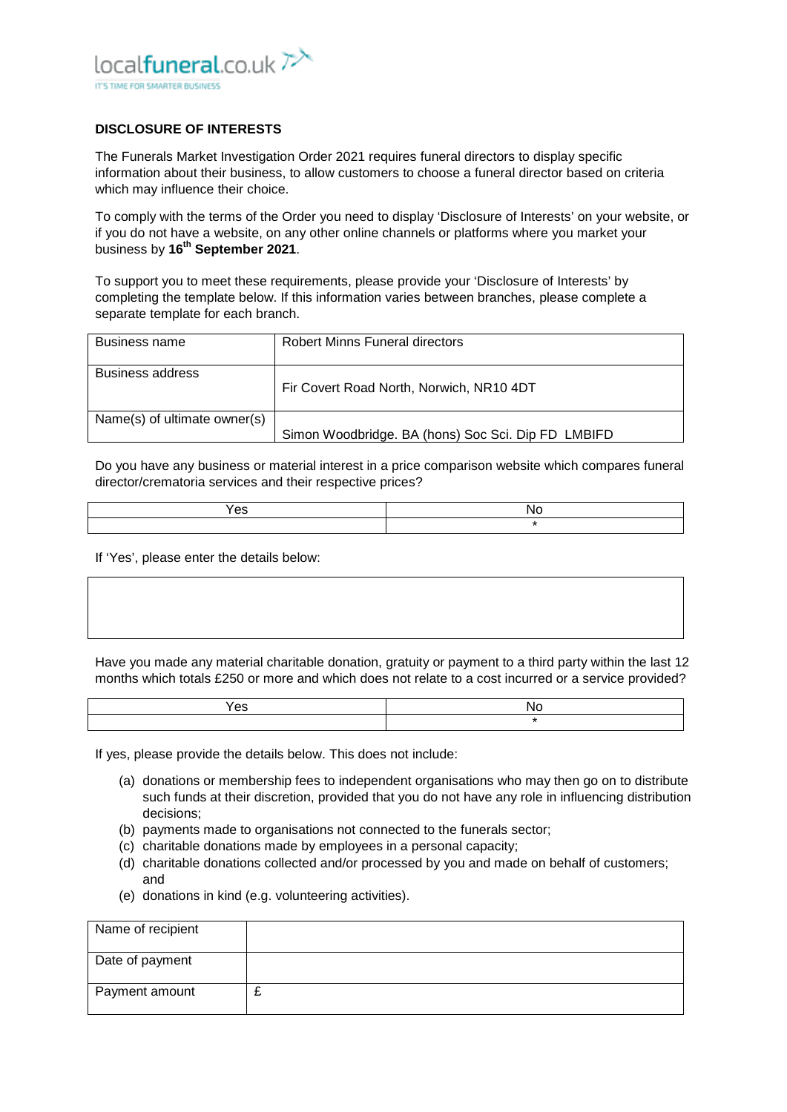

## **DISCLOSURE OF INTERESTS**

The Funerals Market Investigation Order 2021 requires funeral directors to display specific information about their business, to allow customers to choose a funeral director based on criteria which may influence their choice.

To comply with the terms of the Order you need to display 'Disclosure of Interests' on your website, or if you do not have a website, on any other online channels or platforms where you market your business by **16th September 2021**.

To support you to meet these requirements, please provide your 'Disclosure of Interests' by completing the template below. If this information varies between branches, please complete a separate template for each branch.

| Business name                | <b>Robert Minns Funeral directors</b>              |
|------------------------------|----------------------------------------------------|
| Business address             | Fir Covert Road North, Norwich, NR10 4DT           |
| Name(s) of ultimate owner(s) | Simon Woodbridge. BA (hons) Soc Sci. Dip FD LMBIFD |

Do you have any business or material interest in a price comparison website which compares funeral director/crematoria services and their respective prices?

| $\sim$<br>es |  |
|--------------|--|
|              |  |

If 'Yes', please enter the details below:

Have you made any material charitable donation, gratuity or payment to a third party within the last 12 months which totals £250 or more and which does not relate to a cost incurred or a service provided?

| $\sim$<br>es |  |
|--------------|--|
|              |  |

If yes, please provide the details below. This does not include:

- (a) donations or membership fees to independent organisations who may then go on to distribute such funds at their discretion, provided that you do not have any role in influencing distribution decisions;
- (b) payments made to organisations not connected to the funerals sector;
- (c) charitable donations made by employees in a personal capacity;
- (d) charitable donations collected and/or processed by you and made on behalf of customers; and
- (e) donations in kind (e.g. volunteering activities).

| Name of recipient |   |
|-------------------|---|
| Date of payment   |   |
| Payment amount    | - |